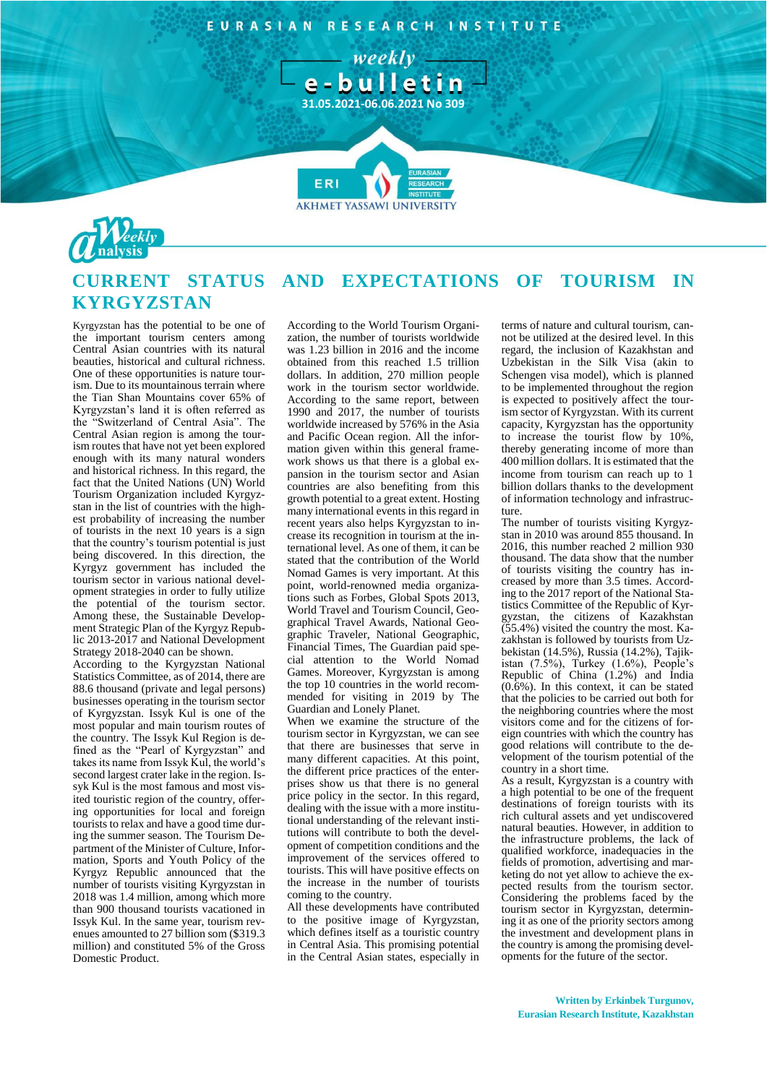EURASIAN RESEARCH INSTITUTE

> weekly e-bulletin

**31.05.2021-06.06.2021 No 309**

**FR** 



## **CURRENT STATUS AND EXPECTATIONS OF TOURISM IN KYRGYZSTAN**

**AKHMET YASSAWI UNIVERSIT** 

Kyrgyzstan has the potential to be one of the important tourism centers among Central Asian countries with its natural beauties, historical and cultural richness. One of these opportunities is nature tourism. Due to its mountainous terrain where the Tian Shan Mountains cover 65% of Kyrgyzstan's land it is often referred as the "Switzerland of Central Asia". The Central Asian region is among the tourism routes that have not yet been explored enough with its many natural wonders and historical richness. In this regard, the fact that the United Nations (UN) World Tourism Organization included Kyrgyzstan in the list of countries with the highest probability of increasing the number of tourists in the next 10 years is a sign that the country's tourism potential is just being discovered. In this direction, the Kyrgyz government has included the tourism sector in various national development strategies in order to fully utilize the potential of the tourism sector. Among these, the Sustainable Development Strategic Plan of the Kyrgyz Republic 2013-2017 and National Development Strategy 2018-2040 can be shown.

According to the Kyrgyzstan National Statistics Committee, as of 2014, there are 88.6 thousand (private and legal persons) businesses operating in the tourism sector of Kyrgyzstan. Issyk Kul is one of the most popular and main tourism routes of the country. The Issyk Kul Region is defined as the "Pearl of Kyrgyzstan" and takes its name from Issyk Kul, the world's second largest crater lake in the region. Issyk Kul is the most famous and most visited touristic region of the country, offering opportunities for local and foreign tourists to relax and have a good time during the summer season. The Tourism Department of the Minister of Culture, Information, Sports and Youth Policy of the Kyrgyz Republic announced that the number of tourists visiting Kyrgyzstan in 2018 was 1.4 million, among which more than 900 thousand tourists vacationed in Issyk Kul. In the same year, tourism revenues amounted to 27 billion som (\$319.3 million) and constituted 5% of the Gross Domestic Product.

According to the World Tourism Organization, the number of tourists worldwide was 1.23 billion in 2016 and the income obtained from this reached 1.5 trillion dollars. In addition, 270 million people work in the tourism sector worldwide. According to the same report, between 1990 and 2017, the number of tourists worldwide increased by 576% in the Asia and Pacific Ocean region. All the information given within this general framework shows us that there is a global expansion in the tourism sector and Asian countries are also benefiting from this growth potential to a great extent. Hosting many international events in this regard in recent years also helps Kyrgyzstan to increase its recognition in tourism at the international level. As one of them, it can be stated that the contribution of the World Nomad Games is very important. At this point, world-renowned media organizations such as Forbes, Global Spots 2013, World Travel and Tourism Council, Geographical Travel Awards, National Geographic Traveler, National Geographic, Financial Times, The Guardian paid special attention to the World Nomad Games. Moreover, Kyrgyzstan is among the top 10 countries in the world recommended for visiting in 2019 by The Guardian and Lonely Planet.

When we examine the structure of the tourism sector in Kyrgyzstan, we can see that there are businesses that serve in many different capacities. At this point, the different price practices of the enterprises show us that there is no general price policy in the sector. In this regard, dealing with the issue with a more institutional understanding of the relevant institutions will contribute to both the development of competition conditions and the improvement of the services offered to tourists. This will have positive effects on the increase in the number of tourists coming to the country.

All these developments have contributed to the positive image of Kyrgyzstan, which defines itself as a touristic country in Central Asia. This promising potential in the Central Asian states, especially in terms of nature and cultural tourism, cannot be utilized at the desired level. In this regard, the inclusion of Kazakhstan and Uzbekistan in the Silk Visa (akin to Schengen visa model), which is planned to be implemented throughout the region is expected to positively affect the tourism sector of Kyrgyzstan. With its current capacity, Kyrgyzstan has the opportunity to increase the tourist flow by 10%, thereby generating income of more than 400 million dollars. It is estimated that the income from tourism can reach up to 1 billion dollars thanks to the development of information technology and infrastructure.

The number of tourists visiting Kyrgyzstan in 2010 was around 855 thousand. In 2016, this number reached 2 million 930 thousand. The data show that the number of tourists visiting the country has increased by more than 3.5 times. According to the 2017 report of the National Statistics Committee of the Republic of Kyrgyzstan, the citizens of Kazakhstan  $(55.4\%)$  visited the country the most. Kazakhstan is followed by tourists from Uzbekistan (14.5%), Russia (14.2%), Tajikistan (7.5%), Turkey (1.6%), People's Republic of China (1.2%) and India (0.6%). In this context, it can be stated that the policies to be carried out both for the neighboring countries where the most visitors come and for the citizens of foreign countries with which the country has good relations will contribute to the development of the tourism potential of the country in a short time.

As a result, Kyrgyzstan is a country with a high potential to be one of the frequent destinations of foreign tourists with its rich cultural assets and yet undiscovered natural beauties. However, in addition to the infrastructure problems, the lack of qualified workforce, inadequacies in the fields of promotion, advertising and marketing do not yet allow to achieve the expected results from the tourism sector. Considering the problems faced by the tourism sector in Kyrgyzstan, determining it as one of the priority sectors among the investment and development plans in the country is among the promising developments for the future of the sector.